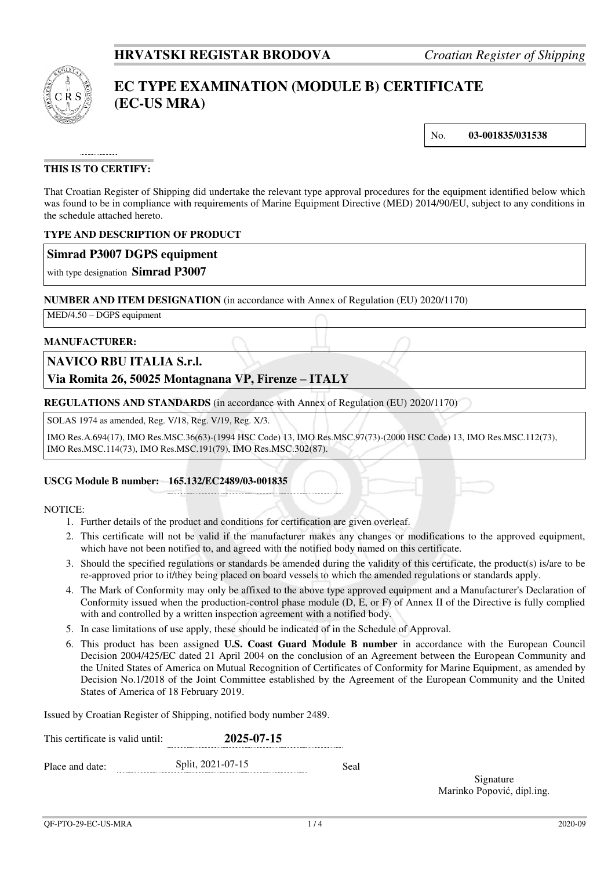

# **EC TYPE EXAMINATION (MODULE B) CERTIFICATE (EC-US MRA)**

No. **03-001835/031538**

## **THIS IS TO CERTIFY:**

That Croatian Register of Shipping did undertake the relevant type approval procedures for the equipment identified below which was found to be in compliance with requirements of Marine Equipment Directive (MED) 2014/90/EU, subject to any conditions in the schedule attached hereto.

#### **TYPE AND DESCRIPTION OF PRODUCT**

## **Simrad P3007 DGPS equipment**

with type designation **Simrad P3007**

#### **NUMBER AND ITEM DESIGNATION** (in accordance with Annex of Regulation (EU) 2020/1170)

MED/4.50 – DGPS equipment

#### **MANUFACTURER:**

## **NAVICO RBU ITALIA S.r.l.**

## **Via Romita 26, 50025 Montagnana VP, Firenze – ITALY**

**REGULATIONS AND STANDARDS** (in accordance with Annex of Regulation (EU) 2020/1170)

SOLAS 1974 as amended, Reg. V/18, Reg. V/19, Reg. X/3.

IMO Res.A.694(17), IMO Res.MSC.36(63)-(1994 HSC Code) 13, IMO Res.MSC.97(73)-(2000 HSC Code) 13, IMO Res.MSC.112(73), IMO Res.MSC.114(73), IMO Res.MSC.191(79), IMO Res.MSC.302(87).

#### **USCG Module B number: 165.132/EC2489/03-001835**

#### NOTICE:

- 1. Further details of the product and conditions for certification are given overleaf.
- 2. This certificate will not be valid if the manufacturer makes any changes or modifications to the approved equipment, which have not been notified to, and agreed with the notified body named on this certificate.
- 3. Should the specified regulations or standards be amended during the validity of this certificate, the product(s) is/are to be re-approved prior to it/they being placed on board vessels to which the amended regulations or standards apply.
- 4. The Mark of Conformity may only be affixed to the above type approved equipment and a Manufacturer's Declaration of Conformity issued when the production-control phase module (D, E, or F) of Annex II of the Directive is fully complied with and controlled by a written inspection agreement with a notified body.
- 5. In case limitations of use apply, these should be indicated of in the Schedule of Approval.
- 6. This product has been assigned **U.S. Coast Guard Module B number** in accordance with the European Council Decision 2004/425/EC dated 21 April 2004 on the conclusion of an Agreement between the European Community and the United States of America on Mutual Recognition of Certificates of Conformity for Marine Equipment, as amended by Decision No.1/2018 of the Joint Committee established by the Agreement of the European Community and the United States of America of 18 February 2019.

Issued by Croatian Register of Shipping, notified body number 2489.

| This certificate is valid until: |  | 2025-07-15        |      |  |
|----------------------------------|--|-------------------|------|--|
| Place and date:                  |  | Split, 2021-07-15 | Seal |  |

Signature Marinko Popović, dipl.ing.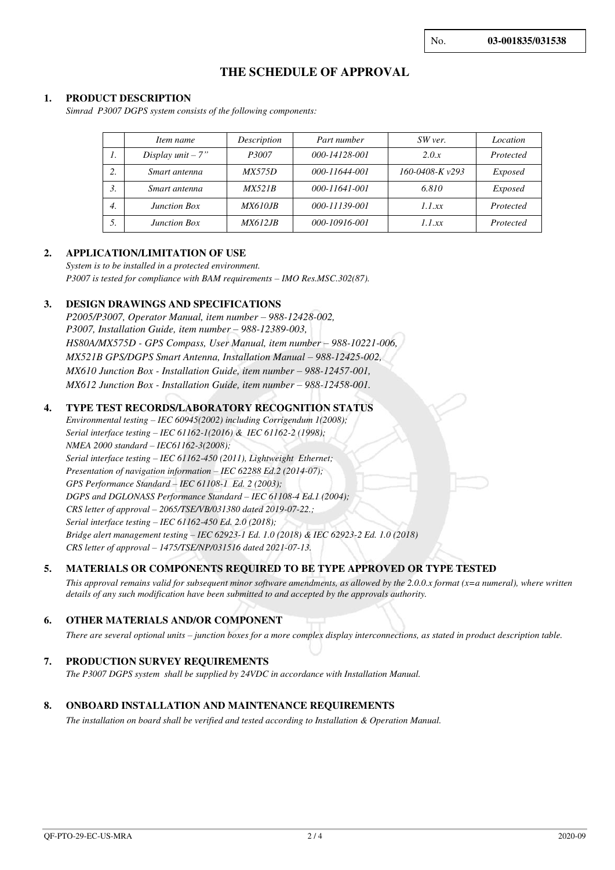No. **03-001835/031538**

## **THE SCHEDULE OF APPROVAL**

#### **1. PRODUCT DESCRIPTION**

*Simrad P3007 DGPS system consists of the following components:* 

|                  | Item name            | Description    | Part number   | SW ver.              | Location       |
|------------------|----------------------|----------------|---------------|----------------------|----------------|
| 1.               | Display $unit - 7$ " | P3007          | 000-14128-001 | 2.0.x                | Protected      |
| 2.               | Smart antenna        | <i>MX575D</i>  | 000-11644-001 | $160 - 0408 - Kv293$ | Exposed        |
| 3.               | Smart antenna        | MX521B         | 000-11641-001 | 6.810                | <i>Exposed</i> |
| $\overline{4}$ . | <b>Junction Box</b>  | <i>MX610JB</i> | 000-11139-001 | 1.1.xx               | Protected      |
| 5.               | <b>Junction Box</b>  | <i>MX612JB</i> | 000-10916-001 | 1.1xx                | Protected      |

#### **2. APPLICATION/LIMITATION OF USE**

*System is to be installed in a protected environment. P3007 is tested for compliance with BAM requirements – IMO Res.MSC.302(87).*

#### **3. DESIGN DRAWINGS AND SPECIFICATIONS**

*P2005/P3007, Operator Manual, item number – 988-12428-002, P3007, Installation Guide, item number – 988-12389-003, HS80A/MX575D - GPS Compass, User Manual, item number – 988-10221-006, MX521B GPS/DGPS Smart Antenna, Installation Manual – 988-12425-002, MX610 Junction Box - Installation Guide, item number – 988-12457-001. MX612 Junction Box - Installation Guide, item number – 988-12458-001.* 

#### **4. TYPE TEST RECORDS/LABORATORY RECOGNITION STATUS**

*Environmental testing – IEC 60945(2002) including Corrigendum 1(2008); Serial interface testing – IEC 61162-1(2016) & IEC 61162-2 (1998); NMEA 2000 standard – IEC61162-3(2008); Serial interface testing – IEC 61162-450 (2011), Lightweight Ethernet; Presentation of navigation information – IEC 62288 Ed.2 (2014-07); GPS Performance Standard – IEC 61108-1 Ed. 2 (2003); DGPS and DGLONASS Performance Standard – IEC 61108-4 Ed.1 (2004); CRS letter of approval – 2065/TSE/VB/031380 dated 2019-07-22.; Serial interface testing – IEC 61162-450 Ed. 2.0 (2018); Bridge alert management testing – IEC 62923-1 Ed. 1.0 (2018) & IEC 62923-2 Ed. 1.0 (2018) CRS letter of approval – 1475/TSE/NP/031516 dated 2021-07-13.*

#### **5. MATERIALS OR COMPONENTS REQUIRED TO BE TYPE APPROVED OR TYPE TESTED**

*This approval remains valid for subsequent minor software amendments, as allowed by the 2.0.0.x format (x=a numeral), where written details of any such modification have been submitted to and accepted by the approvals authority.*

#### **6. OTHER MATERIALS AND/OR COMPONENT**

*There are several optional units – junction boxes for a more complex display interconnections, as stated in product description table.*

#### **7. PRODUCTION SURVEY REQUIREMENTS**

*The P3007 DGPS system shall be supplied by 24VDC in accordance with Installation Manual.* 

#### **8. ONBOARD INSTALLATION AND MAINTENANCE REQUIREMENTS**

*The installation on board shall be verified and tested according to Installation & Operation Manual.*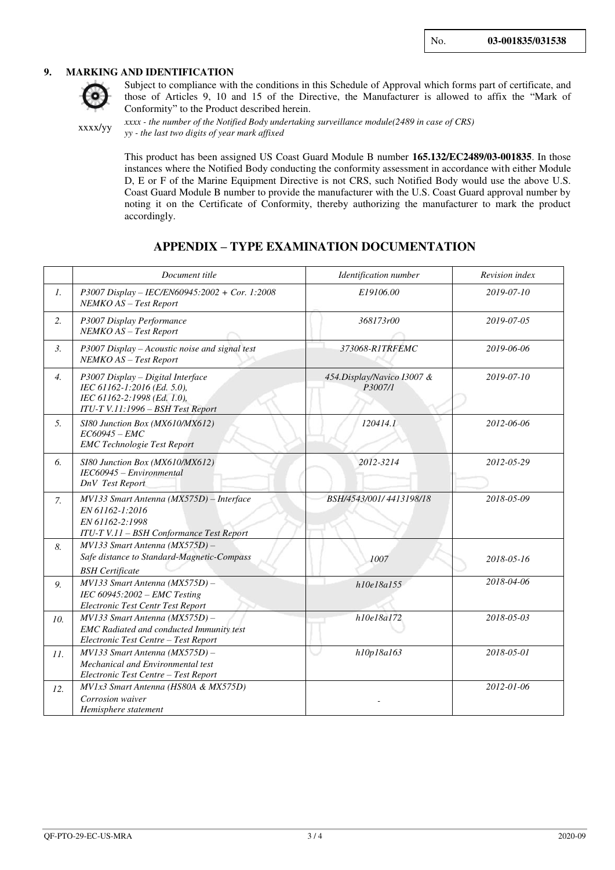#### **9. MARKING AND IDENTIFICATION**



Subject to compliance with the conditions in this Schedule of Approval which forms part of certificate, and those of Articles 9, 10 and 15 of the Directive, the Manufacturer is allowed to affix the "Mark of Conformity" to the Product described herein.

xxxx/yy

*xxxx - the number of the Notified Body undertaking surveillance module(2489 in case of CRS) yy - the last two digits of year mark affixed*

This product has been assigned US Coast Guard Module B number **165.132/EC2489/03-001835**. In those instances where the Notified Body conducting the conformity assessment in accordance with either Module D, E or F of the Marine Equipment Directive is not CRS, such Notified Body would use the above U.S. Coast Guard Module B number to provide the manufacturer with the U.S. Coast Guard approval number by noting it on the Certificate of Conformity, thereby authorizing the manufacturer to mark the product accordingly.

## **APPENDIX – TYPE EXAMINATION DOCUMENTATION**

|                  | Document title                                                                                                                       | Identification number                 | Revision index |
|------------------|--------------------------------------------------------------------------------------------------------------------------------------|---------------------------------------|----------------|
| 1.               | P3007 Display - IEC/EN60945:2002 + Cor. 1:2008<br>NEMKO AS - Test Report                                                             | E19106.00                             | 2019-07-10     |
| 2.               | P3007 Display Performance<br>NEMKO AS - Test Report                                                                                  | 368173r00                             | 2019-07-05     |
| 3.               | P3007 Display - Acoustic noise and signal test<br>NEMKO AS - Test Report                                                             | 373068-R1TRFEMC                       | 2019-06-06     |
| $\overline{4}$ . | P3007 Display - Digital Interface<br>IEC 61162-1:2016 (Ed. 5.0),<br>IEC 61162-2:1998 (Ed. 1.0),<br>ITU-T V.11:1996 - BSH Test Report | 454.Display/Navico I3007 &<br>P3007/1 | 2019-07-10     |
| 5.               | SI80 Junction Box (MX610/MX612)<br>$EC60945 - EMC$<br><b>EMC</b> Technologie Test Report                                             | 120414.1                              | 2012-06-06     |
| 6.               | SI80 Junction Box (MX610/MX612)<br>IEC60945 - Environmental<br>DnV Test Report                                                       | 2012-3214                             | 2012-05-29     |
| 7.               | MV133 Smart Antenna (MX575D) - Interface<br>EN 61162-1:2016<br>EN 61162-2:1998<br>ITU-T V.11 - BSH Conformance Test Report           | BSH/4543/001/4413198/18               | 2018-05-09     |
| 8.               | MV133 Smart Antenna (MX575D) -<br>Safe distance to Standard-Magnetic-Compass<br><b>BSH</b> Certificate                               | 1007                                  | 2018-05-16     |
| 9.               | MV133 Smart Antenna (MX575D) -<br>IEC $60945:2002$ – EMC Testing<br>Electronic Test Centr Test Report                                | h10e18a155                            | 2018-04-06     |
| 10.              | MV133 Smart Antenna (MX575D) -<br><b>EMC</b> Radiated and conducted Immunity test<br>Electronic Test Centre - Test Report            | h10e18a172                            | 2018-05-03     |
| II.              | $MV133$ Smart Antenna ( $MX575D$ ) -<br>Mechanical and Environmental test<br>Electronic Test Centre - Test Report                    | h10p18a163                            | 2018-05-01     |
| 12.              | MV1x3 Smart Antenna (HS80A & MX575D)<br>Corrosion waiver<br>Hemisphere statement                                                     |                                       | 2012-01-06     |